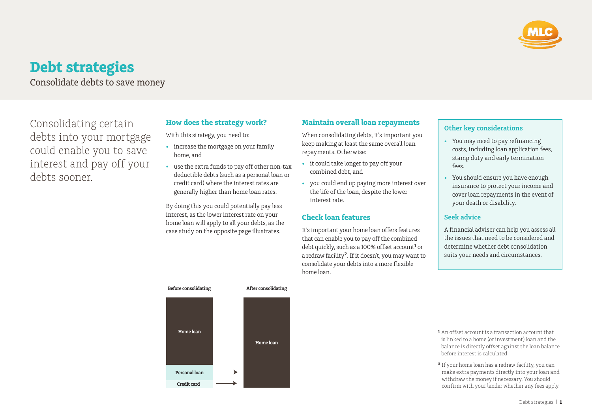

# **Debt strategies**

Consolidate debts to save money

Consolidating certain debts into your mortgage could enable you to save interest and pay off your debts sooner.

# **How does the strategy work?**

With this strategy, you need to:

- increase the mortgage on your family home, and
- use the extra funds to pay off other non-tax deductible debts (such as a personal loan or credit card) where the interest rates are generally higher than home loan rates.

By doing this you could potentially pay less interest, as the lower interest rate on your home loan will apply to all your debts, as the case study on the opposite page illustrates.

## **Maintain overall loan repayments**

When consolidating debts, it's important you keep making at least the same overall loan repayments. Otherwise:

- it could take longer to pay off your combined debt, and
- you could end up paying more interest over the life of the loan, despite the lower interest rate.

### **Check loan features**

It's important your home loan offers features that can enable you to pay off the combined debt quickly, such as a 100% offset account**<sup>1</sup>** or a redraw facility**2**. If it doesn't, you may want to consolidate your debts into a more flexible home loan.

## **Other key considerations**

- You may need to pay refinancing costs, including loan application fees, stamp duty and early termination fees.
- You should ensure you have enough insurance to protect your income and cover loan repayments in the event of your death or disability.

### **Seek advice**

A financial adviser can help you assess all the issues that need to be considered and determine whether debt consolidation suits your needs and circumstances.



- **¹** An offset account is a transaction account that is linked to a home (or investment) loan and the balance is directly offset against the loan balance before interest is calculated.
- **²** If your home loan has a redraw facility, you can make extra payments directly into your loan and withdraw the money if necessary. You should confirm with your lender whether any fees apply.